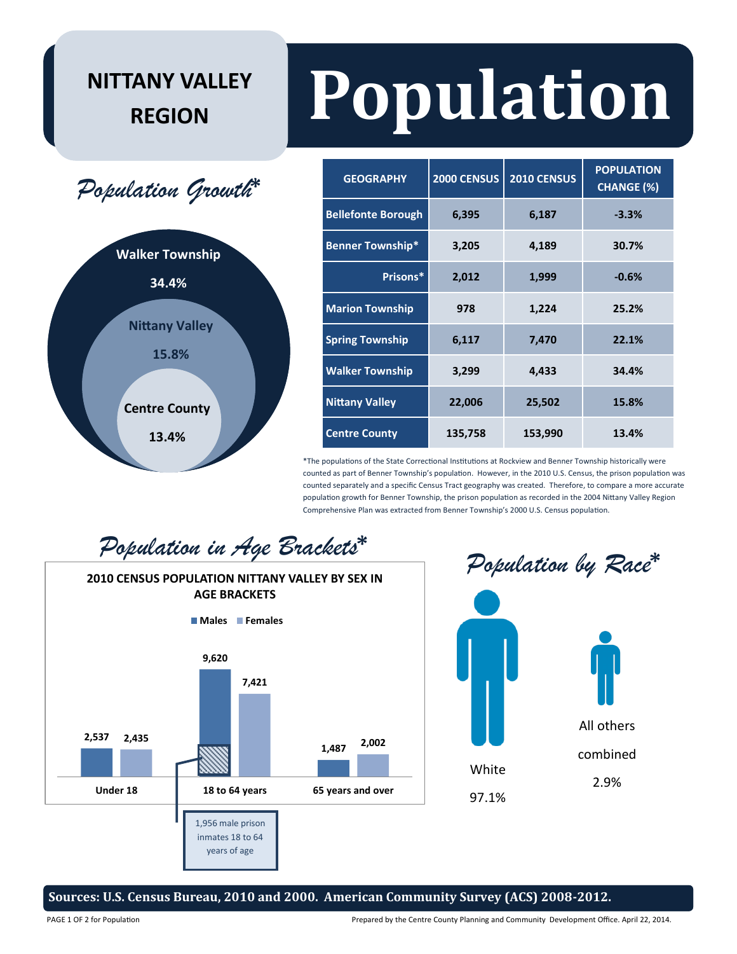## **NITTANY VALLEY**

*Population Growth\**



## **REGION Population**

| <b>GEOGRAPHY</b>          | 2000 CENSUS | <b>2010 CENSUS</b> | <b>POPULATION</b><br><b>CHANGE (%)</b> |  |
|---------------------------|-------------|--------------------|----------------------------------------|--|
| <b>Bellefonte Borough</b> | 6,395       | 6,187              | $-3.3%$                                |  |
| <b>Benner Township*</b>   | 3,205       | 4,189              | 30.7%                                  |  |
| Prisons*                  | 2,012       | 1,999              | $-0.6%$                                |  |
| <b>Marion Township</b>    | 978         | 1,224              | 25.2%                                  |  |
| <b>Spring Township</b>    | 6,117       | 7,470              | 22.1%                                  |  |
| <b>Walker Township</b>    | 3,299       | 4,433              | 34.4%                                  |  |
| <b>Nittany Valley</b>     | 22,006      | 25,502             | 15.8%                                  |  |
| <b>Centre County</b>      | 135,758     | 153,990            | 13.4%                                  |  |

\*The populations of the State Correctional Institutions at Rockview and Benner Township historically were counted as part of Benner Township's population. However, in the 2010 U.S. Census, the prison population was counted separately and a specific Census Tract geography was created. Therefore, to compare a more accurate population growth for Benner Township, the prison population as recorded in the 2004 Nittany Valley Region Comprehensive Plan was extracted from Benner Township's 2000 U.S. Census population.

*Population in Age Brackets\**





**Sources: U.S. Census Bureau, 2010 and 2000. American Community Survey (ACS) 2008-2012.** 

PAGE 1 OF 2 for Population Prepared by the Centre County Planning and Community Development Office. April 22, 2014.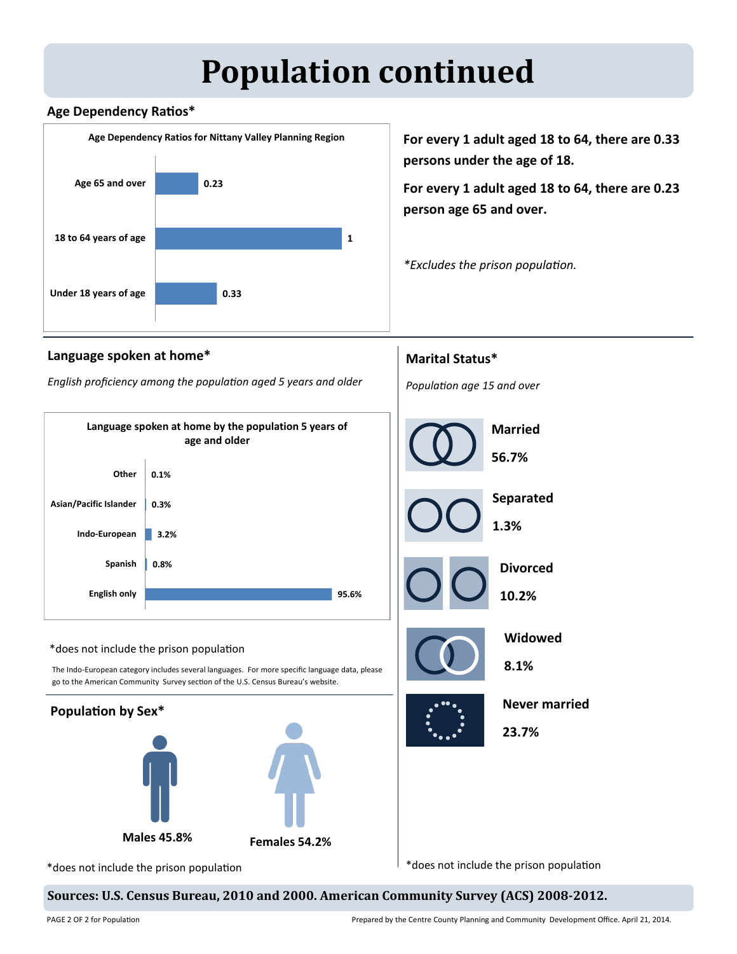## **Population continued**

### **Age Dependency Ratios\***



**persons under the age of 18.**

**For every 1 adult aged 18 to 64, there are 0.23 person age 65 and over.**

*\*Excludes the prison population.*

**Marital Status\***

*Population age 15 and over*

**Married**

**Separated**

**Divorced**

**Widowed**

**Never married**

**10.2%**

**8.1%**

**23.7%**

**56.7%**

**1.3%**

### **Language spoken at home\***

*English proficiency among the population aged 5 years and older*



### \*does not include the prison population

The Indo-European category includes several languages. For more specific language data, please go to the American Community Survey section of the U.S. Census Bureau's website.







\*does not include the prison population

\*does not include the prison population

**Sources: U.S. Census Bureau, 2010 and 2000. American Community Survey (ACS) 2008-2012.**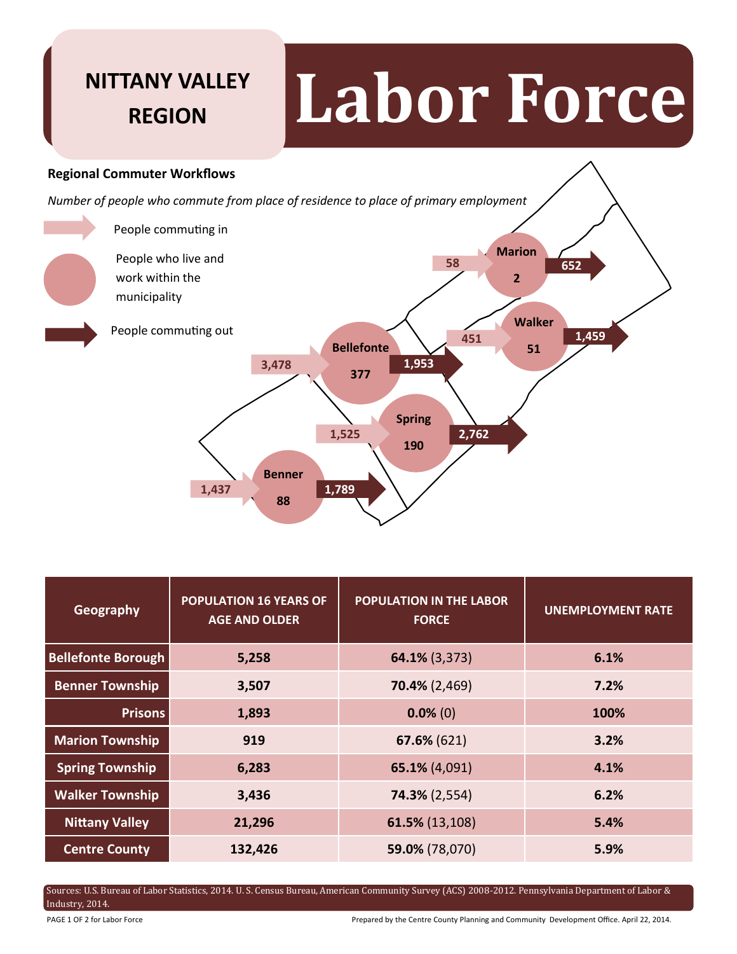

| Geography                 | <b>POPULATION 16 YEARS OF</b><br><b>AGE AND OLDER</b> | <b>POPULATION IN THE LABOR</b><br><b>FORCE</b> | <b>UNEMPLOYMENT RATE</b> |  |
|---------------------------|-------------------------------------------------------|------------------------------------------------|--------------------------|--|
| <b>Bellefonte Borough</b> | 5,258                                                 | 64.1% (3,373)                                  | 6.1%                     |  |
| <b>Benner Township</b>    | 3,507                                                 | $70.4\%$ (2,469)                               | 7.2%                     |  |
| <b>Prisons</b>            | 1,893                                                 | $0.0\%$ (0)                                    | 100%                     |  |
| <b>Marion Township</b>    | 919                                                   | 67.6% (621)                                    | 3.2%                     |  |
| <b>Spring Township</b>    | 6,283                                                 | 65.1% (4,091)                                  | 4.1%                     |  |
| <b>Walker Township</b>    | 3,436                                                 | 74.3% (2,554)                                  | 6.2%                     |  |
| <b>Nittany Valley</b>     | 21,296                                                | 61.5% (13,108)                                 | 5.4%                     |  |
| <b>Centre County</b>      | 132,426                                               | 59.0% (78,070)                                 | 5.9%                     |  |

Sources: U.S. Bureau of Labor Statistics, 2014. U. S. Census Bureau, American Community Survey (ACS) 2008-2012. Pennsylvania Department of Labor & Industry, 2014.

PAGE 1 OF 2 for Labor Force **Prepared by the Centre County Planning and Community Development Office. April 22, 2014.**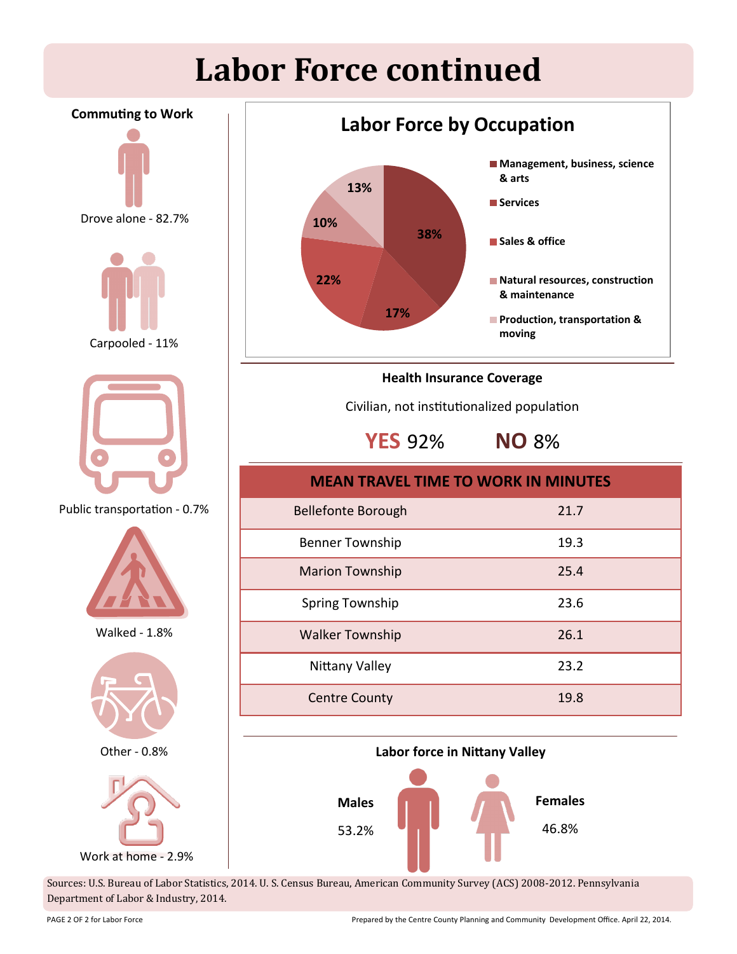## **Labor Force continued**



**Management, business, science & arts Services** ■ Sales & office **Natural resources, construction & maintenance Production, transportation & moving Health Insurance Coverage** Civilian, not institutionalized population **YES** 92% **NO** 8% **MEAN TRAVEL TIME TO WORK IN MINUTES** Bellefonte Borough 21.7 Benner Township 19.3 Marion Township 25.4 Spring Township 23.6 Walker Township 26.1 Nittany Valley 23.2 Centre County **19.8** 



Sources: U.S. Bureau of Labor Statistics, 2014. U. S. Census Bureau, American Community Survey (ACS) 2008-2012. Pennsylvania Department of Labor & Industry, 2014.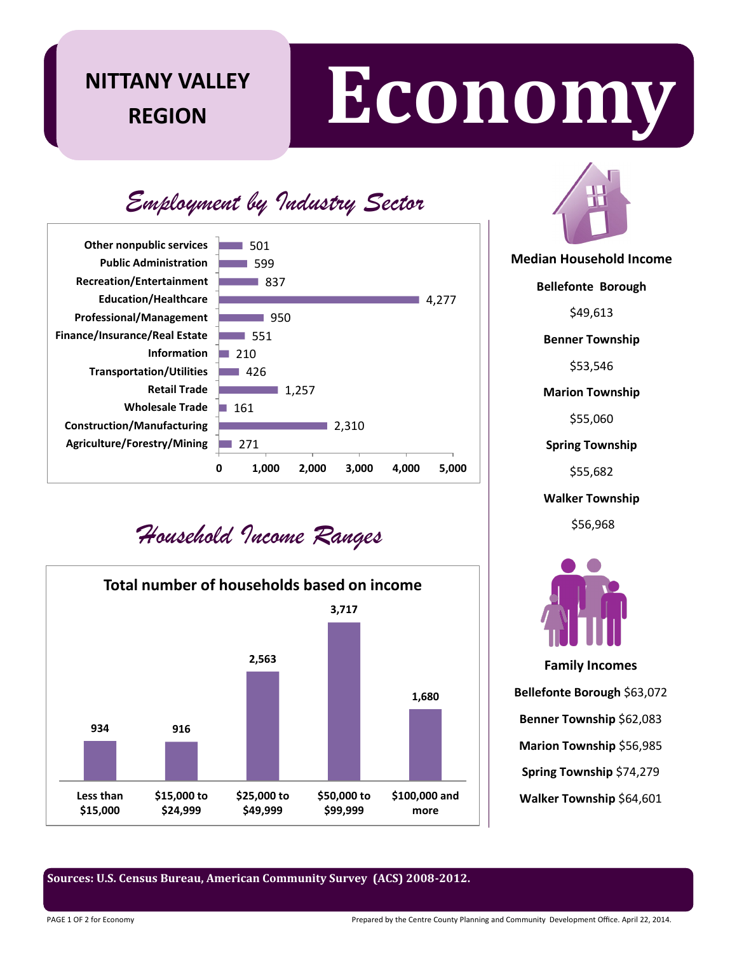## **REGION**

# **EXCONOMY**

### *Employment by Industry Sector*

**Agriculture/Forestry/Mining Construction/Manufacturing Wholesale Trade Retail Trade Transportation/Utilities Information Finance/Insurance/Real Estate Professional/Management Education/Healthcare Recreation/Entertainment Public Administration Other nonpublic services**



### \$56,968 *Household Income Ranges*





**Median Household Income**

**Bellefonte Borough**

\$49,613

**Benner Township**

\$53,546

**Marion Township**

\$55,060

**Spring Township**

\$55,682

**Walker Township**



**Family Incomes Bellefonte Borough** \$63,072 **Benner Township** \$62,083 **Marion Township** \$56,985 **Spring Township** \$74,279 **Walker Township** \$64,601

**Sources: U.S. Census Bureau, American Community Survey (ACS) 2008-2012.**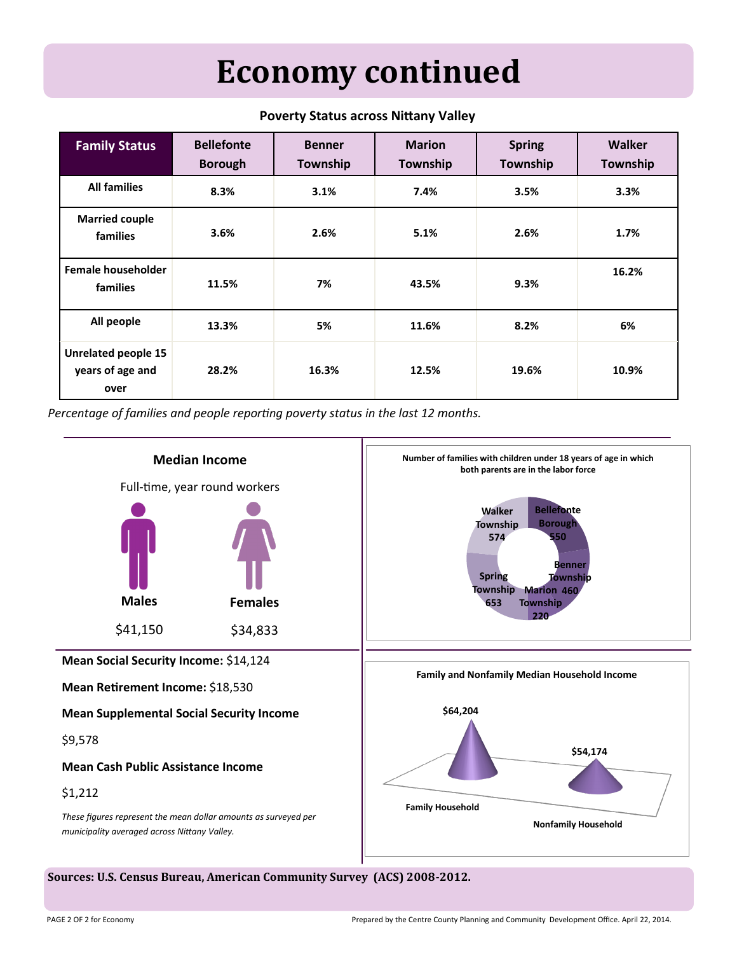## **Economy continued**

| <b>Family Status</b>                                   | <b>Bellefonte</b><br><b>Borough</b> | <b>Benner</b><br>Township | <b>Marion</b><br>Township | <b>Spring</b><br>Township | <b>Walker</b><br>Township |
|--------------------------------------------------------|-------------------------------------|---------------------------|---------------------------|---------------------------|---------------------------|
| <b>All families</b>                                    | 8.3%                                | 3.1%                      | 7.4%                      | 3.5%                      | 3.3%                      |
| <b>Married couple</b><br>families                      | 3.6%                                | 2.6%                      | 5.1%                      | 2.6%                      | 1.7%                      |
| <b>Female householder</b><br>families                  | 11.5%                               | 7%                        | 43.5%                     | 9.3%                      | 16.2%                     |
| All people                                             | 13.3%                               | 5%                        | 11.6%                     | 8.2%                      | 6%                        |
| <b>Unrelated people 15</b><br>years of age and<br>over | 28.2%                               | 16.3%                     | 12.5%                     | 19.6%                     | 10.9%                     |

### **Poverty Status across Nittany Valley**

*Percentage of families and people reporting poverty status in the last 12 months.*



**Sources: U.S. Census Bureau, American Community Survey (ACS) 2008-2012.**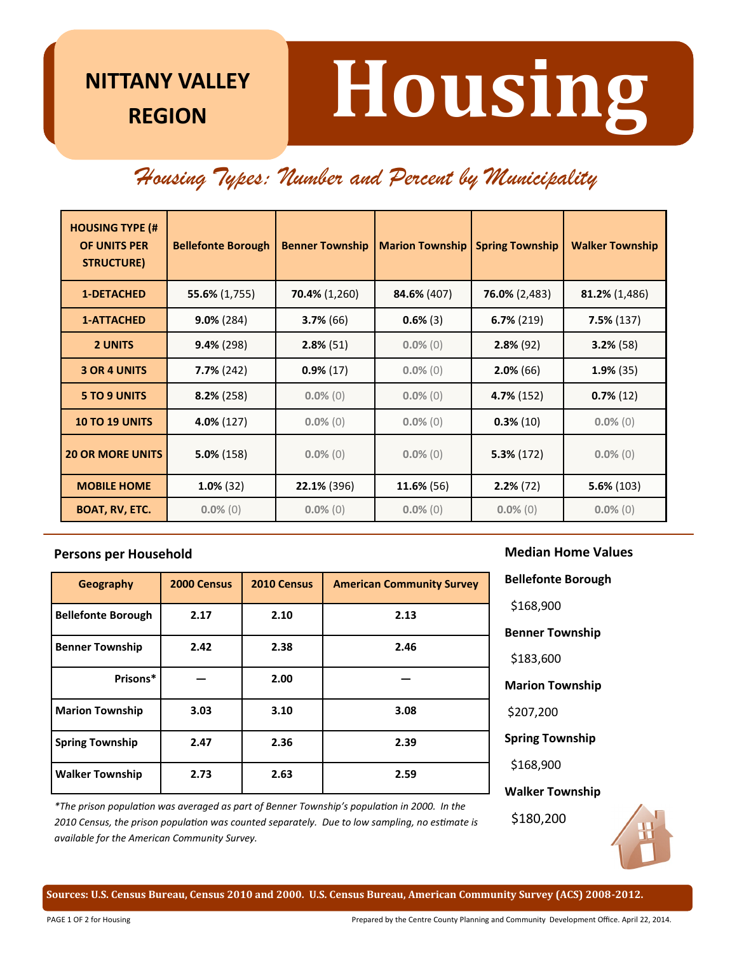## **REGION**

# **Housing**

### *Housing Types: Number and Percent by Municipality*

| <b>HOUSING TYPE (#</b><br>OF UNITS PER<br><b>STRUCTURE)</b> | <b>Bellefonte Borough</b> | <b>Benner Township</b> | <b>Marion Township</b> | <b>Spring Township</b> | <b>Walker Township</b> |
|-------------------------------------------------------------|---------------------------|------------------------|------------------------|------------------------|------------------------|
| <b>1-DETACHED</b>                                           | $55.6\% (1,755)$          | $70.4\% (1,260)$       | 84.6% (407)            | $76.0\% (2,483)$       | $81.2\% (1,486)$       |
| <b>1-ATTACHED</b>                                           | $9.0\%$ (284)             | $3.7\%$ (66)           | 0.6%(3)                | $6.7\%$ (219)          | $7.5\%$ (137)          |
| <b>2 UNITS</b>                                              | $9.4\%$ (298)             | $2.8\%$ (51)           | $0.0\%$ (0)            | $2.8\%$ (92)           | $3.2%$ (58)            |
| <b>3 OR 4 UNITS</b>                                         | $7.7\%$ (242)             | $0.9\%$ (17)           | $0.0\%$ (0)            | $2.0\%$ (66)           | $1.9\%$ (35)           |
| <b>5 TO 9 UNITS</b>                                         | $8.2\%$ (258)             | $0.0\%$ (0)            | $0.0\%$ (0)            | 4.7% (152)             | $0.7\%$ (12)           |
| <b>10 TO 19 UNITS</b>                                       | 4.0% (127)                | $0.0\%$ (0)            | $0.0\%$ (0)            | $0.3\%$ (10)           | $0.0\%$ (0)            |
| <b>20 OR MORE UNITS</b>                                     | $5.0\%$ (158)             | $0.0\%$ (0)            | $0.0\%$ (0)            | $5.3\% (172)$          | $0.0\%$ (0)            |
| <b>MOBILE HOME</b>                                          | $1.0\%$ (32)              | 22.1% (396)            | 11.6% (56)             | 2.2% (72)              | $5.6\%$ (103)          |
| <b>BOAT, RV, ETC.</b>                                       | $0.0\%$ (0)               | $0.0\%$ (0)            | $0.0\%$ (0)            | $0.0\%$ (0)            | $0.0\%$ (0)            |

### **Persons per Household**

| Geography                 | 2000 Census | 2010 Census | <b>American Community Survey</b> | <b>Bellefonte Borough</b> |
|---------------------------|-------------|-------------|----------------------------------|---------------------------|
| <b>Bellefonte Borough</b> | 2.17        | 2.10        | 2.13                             | \$168,900                 |
|                           |             |             |                                  | <b>Benner Township</b>    |
| <b>Benner Township</b>    | 2.42        | 2.38        | 2.46                             | \$183,600                 |
| Prisons*                  |             | 2.00        |                                  | <b>Marion Township</b>    |
| <b>Marion Township</b>    | 3.03        | 3.10        | 3.08                             | \$207,200                 |
| <b>Spring Township</b>    | 2.47        | 2.36        | 2.39                             | <b>Spring Township</b>    |
| <b>Walker Township</b>    | 2.73        | 2.63        | 2.59                             | \$168,900                 |
|                           |             |             |                                  | <b>Walker Township</b>    |

**Median Home Values** 

\$180,200

*\*The prison population was averaged as part of Benner Township's population in 2000. In the 2010 Census, the prison population was counted separately. Due to low sampling, no estimate is available for the American Community Survey.*

**Sources: U.S. Census Bureau, Census 2010 and 2000. U.S. Census Bureau, American Community Survey (ACS) 2008-2012.**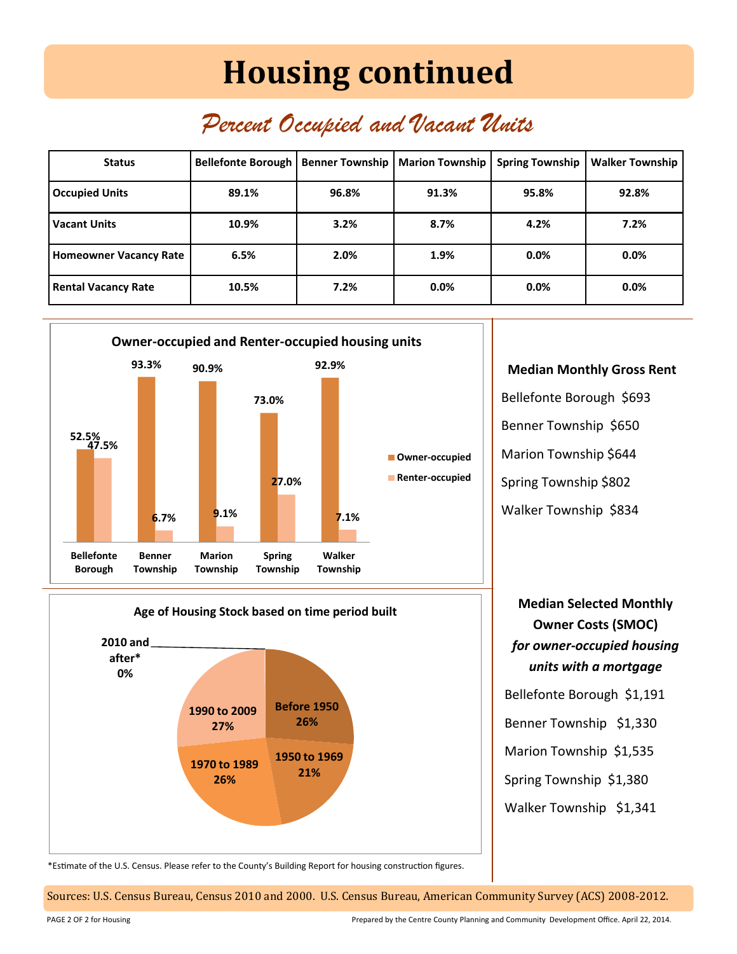## **Housing continued**

### *Percent Occupied and Vacant Units*

| <b>Status</b>                 | <b>Bellefonte Borough</b> | <b>Benner Township</b> | <b>Marion Township</b> | <b>Spring Township</b> | <b>Walker Township</b> |
|-------------------------------|---------------------------|------------------------|------------------------|------------------------|------------------------|
| <b>Occupied Units</b>         | 89.1%                     | 96.8%                  | 91.3%                  | 95.8%                  | 92.8%                  |
| <b>Vacant Units</b>           | 10.9%                     | 3.2%                   | 8.7%                   | 4.2%                   | 7.2%                   |
| <b>Homeowner Vacancy Rate</b> | 6.5%                      | 2.0%                   | 1.9%                   | 0.0%                   | 0.0%                   |
| <b>Rental Vacancy Rate</b>    | 10.5%                     | 7.2%                   | 0.0%                   | 0.0%                   | $0.0\%$                |



**Age of Housing Stock based on time period built**

### **Median Monthly Gross Rent**

Bellefonte Borough \$693 Benner Township \$650 Marion Township \$644 Spring Township \$802 Walker Township \$834



Bellefonte Borough \$1,191

Benner Township \$1,330

Marion Township \$1,535

Spring Township \$1,380

Walker Township \$1,341

\*Estimate of the U.S. Census. Please refer to the County's Building Report for housing construction figures.

**21% 1970 to 1989**

**26%**

**1990 to 2009 27%**

**Before 1950 26%**

**1950 to 1969**

Sources: U.S. Census Bureau, Census 2010 and 2000. U.S. Census Bureau, American Community Survey (ACS) 2008-2012.

**2010 and after\* 0%**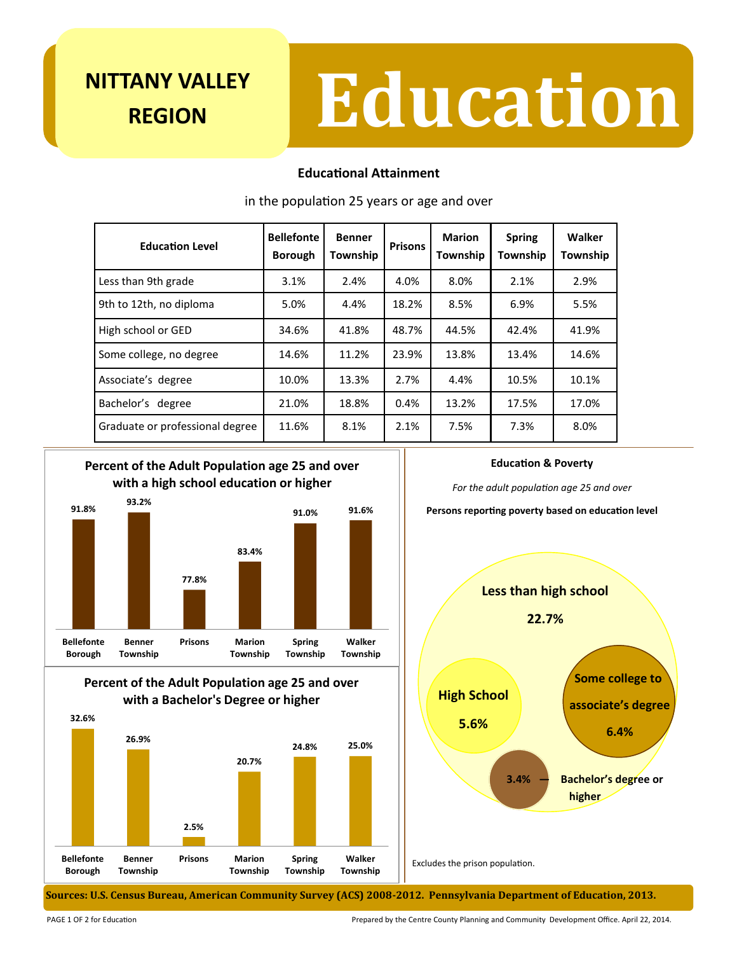**REGION**

# **EGION Education**

### **Educational Attainment**

| <b>Education Level</b>          | <b>Bellefonte</b><br><b>Borough</b> | <b>Benner</b><br><b>Township</b> | <b>Prisons</b> | <b>Marion</b><br>Township | <b>Spring</b><br>Township | Walker<br>Township |
|---------------------------------|-------------------------------------|----------------------------------|----------------|---------------------------|---------------------------|--------------------|
| Less than 9th grade             | 3.1%                                | 2.4%                             | 4.0%           | 8.0%                      | 2.1%                      | 2.9%               |
| 9th to 12th, no diploma         | 5.0%                                | 4.4%                             | 18.2%          | 8.5%                      | 6.9%                      | 5.5%               |
| High school or GED              | 34.6%                               | 41.8%                            | 48.7%          | 44.5%                     | 42.4%                     | 41.9%              |
| Some college, no degree         | 14.6%                               | 11.2%                            | 23.9%          | 13.8%                     | 13.4%                     | 14.6%              |
| Associate's degree              | 10.0%                               | 13.3%                            | 2.7%           | 4.4%                      | 10.5%                     | 10.1%              |
| Bachelor's degree               | 21.0%                               | 18.8%                            | 0.4%           | 13.2%                     | 17.5%                     | 17.0%              |
| Graduate or professional degree | 11.6%                               | 8.1%                             | 2.1%           | 7.5%                      | 7.3%                      | 8.0%               |

### in the population 25 years or age and over







#### **Education & Poverty**

*For the adult population age 25 and over*



Excludes the prison population.

**Sources: U.S. Census Bureau, American Community Survey (ACS) 2008-2012. Pennsylvania Department of Education, 2013.**

PAGE 1 OF 2 for Education Prepared by the Centre County Planning and Community Development Office. April 22, 2014.